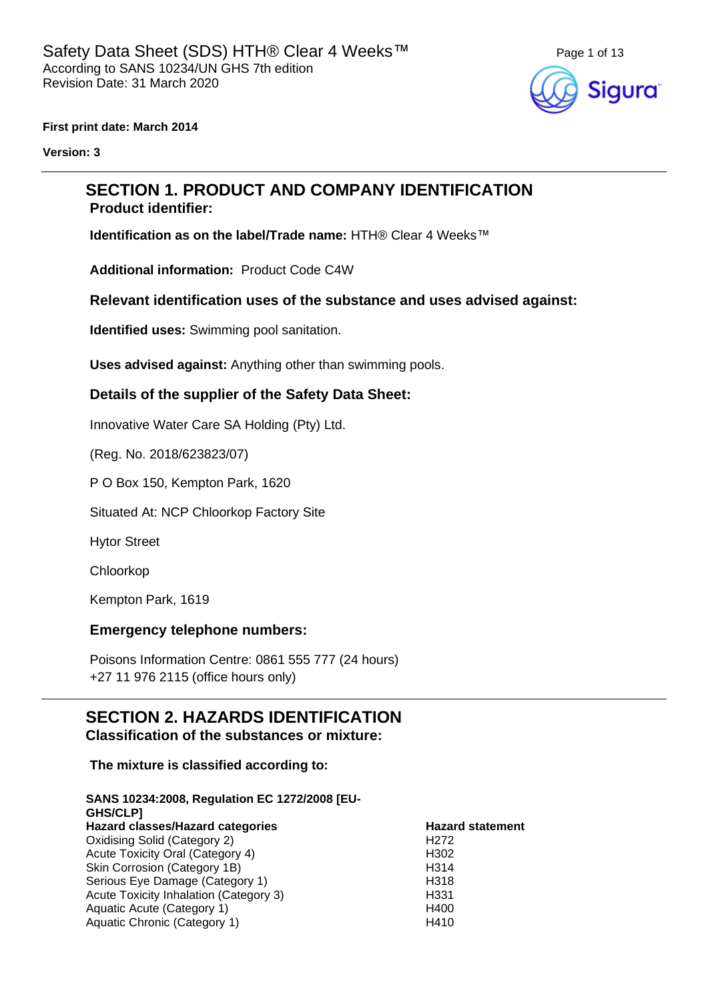

**First print date: March 2014**

**Version: 3**

### **SECTION 1. PRODUCT AND COMPANY IDENTIFICATION Product identifier:**

**Identification as on the label/Trade name: HTH® Clear 4 Weeks™** 

**Additional information:** Product Code C4W

### **Relevant identification uses of the substance and uses advised against:**

**Identified uses:** Swimming pool sanitation.

**Uses advised against:** Anything other than swimming pools.

### **Details of the supplier of the Safety Data Sheet:**

Innovative Water Care SA Holding (Pty) Ltd.

(Reg. No. 2018/623823/07)

P O Box 150, Kempton Park, 1620

Situated At: NCP Chloorkop Factory Site

Hytor Street

Chloorkop

Kempton Park, 1619

### **Emergency telephone numbers:**

Poisons Information Centre: 0861 555 777 (24 hours) +27 11 976 2115 (office hours only)

### **SECTION 2. HAZARDS IDENTIFICATION Classification of the substances or mixture:**

### **The mixture is classified according to:**

#### **SANS 10234:2008, Regulation EC 1272/2008 [EU-GHS/CLP]**

| ו ושעשוט                               |                         |
|----------------------------------------|-------------------------|
| Hazard classes/Hazard categories       | <b>Hazard statement</b> |
| Oxidising Solid (Category 2)           | H <sub>2</sub> 72       |
| Acute Toxicity Oral (Category 4)       | H <sub>302</sub>        |
| Skin Corrosion (Category 1B)           | H <sub>3</sub> 14       |
| Serious Eye Damage (Category 1)        | H <sub>318</sub>        |
| Acute Toxicity Inhalation (Category 3) | H <sub>331</sub>        |
| Aquatic Acute (Category 1)             | H400                    |
| Aquatic Chronic (Category 1)           | H410                    |
|                                        |                         |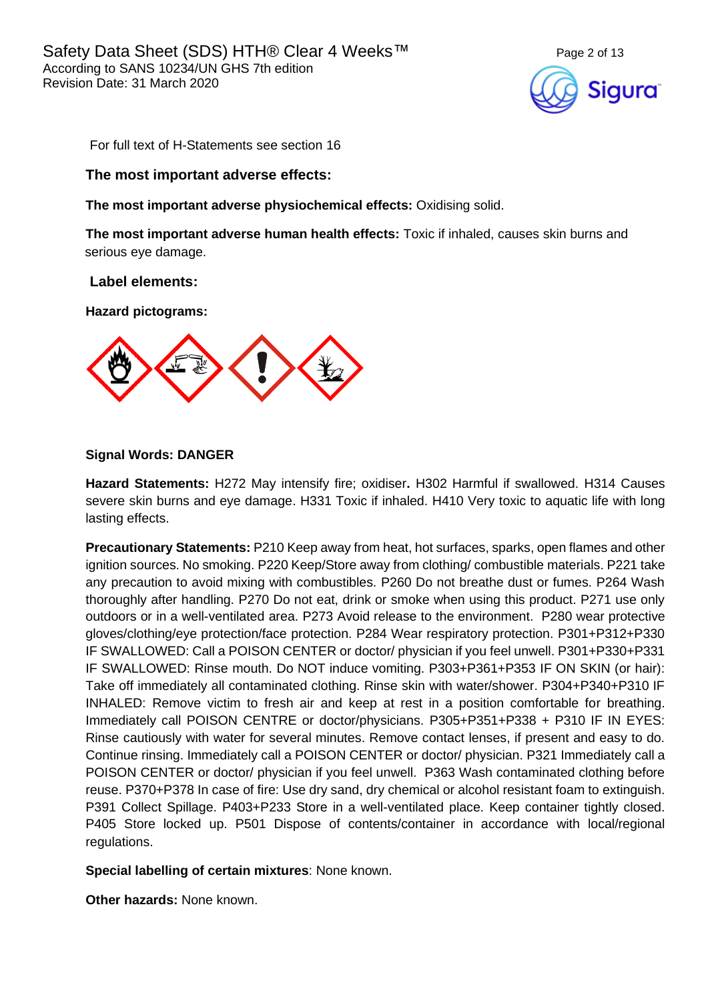

For full text of H-Statements see section 16

### **The most important adverse effects:**

**The most important adverse physiochemical effects:** Oxidising solid.

**The most important adverse human health effects:** Toxic if inhaled, causes skin burns and serious eye damage.

### **Label elements:**

**Hazard pictograms:**



### **Signal Words: DANGER**

**Hazard Statements:** H272 May intensify fire; oxidiser**.** H302 Harmful if swallowed. H314 Causes severe skin burns and eye damage. H331 Toxic if inhaled. H410 Very toxic to aquatic life with long lasting effects.

**Precautionary Statements:** P210 Keep away from heat, hot surfaces, sparks, open flames and other ignition sources. No smoking. P220 Keep/Store away from clothing/ combustible materials. P221 take any precaution to avoid mixing with combustibles. P260 Do not breathe dust or fumes. P264 Wash thoroughly after handling. P270 Do not eat, drink or smoke when using this product. P271 use only outdoors or in a well-ventilated area. P273 Avoid release to the environment. P280 wear protective gloves/clothing/eye protection/face protection. P284 Wear respiratory protection. P301+P312+P330 IF SWALLOWED: Call a POISON CENTER or doctor/ physician if you feel unwell. P301+P330+P331 IF SWALLOWED: Rinse mouth. Do NOT induce vomiting. P303+P361+P353 IF ON SKIN (or hair): Take off immediately all contaminated clothing. Rinse skin with water/shower. P304+P340+P310 IF INHALED: Remove victim to fresh air and keep at rest in a position comfortable for breathing. Immediately call POISON CENTRE or doctor/physicians. P305+P351+P338 + P310 IF IN EYES: Rinse cautiously with water for several minutes. Remove contact lenses, if present and easy to do. Continue rinsing. Immediately call a POISON CENTER or doctor/ physician. P321 Immediately call a POISON CENTER or doctor/ physician if you feel unwell. P363 Wash contaminated clothing before reuse. P370+P378 In case of fire: Use dry sand, dry chemical or alcohol resistant foam to extinguish. P391 Collect Spillage. P403+P233 Store in a well-ventilated place. Keep container tightly closed. P405 Store locked up. P501 Dispose of contents/container in accordance with local/regional regulations.

**Special labelling of certain mixtures**: None known.

**Other hazards:** None known.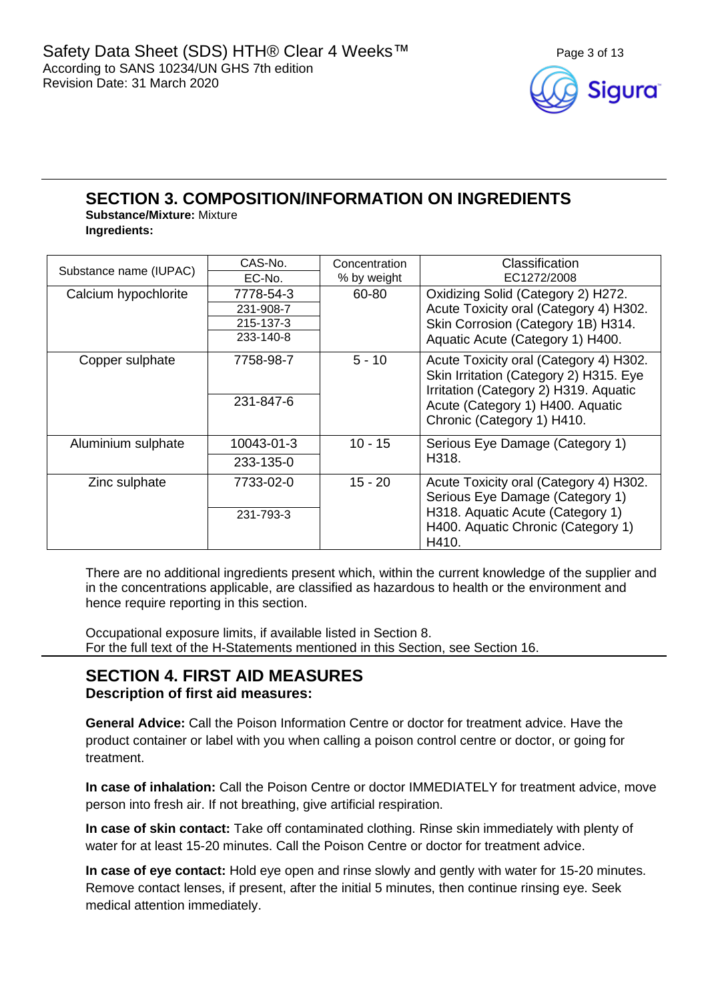

### **SECTION 3. COMPOSITION/INFORMATION ON INGREDIENTS**

**Substance/Mixture:** Mixture **Ingredients:**

| Substance name (IUPAC) | CAS-No.    | Concentration | Classification<br>EC1272/2008                                                                                             |  |
|------------------------|------------|---------------|---------------------------------------------------------------------------------------------------------------------------|--|
|                        | EC-No.     | % by weight   |                                                                                                                           |  |
| Calcium hypochlorite   | 7778-54-3  | 60-80         | Oxidizing Solid (Category 2) H272.                                                                                        |  |
|                        | 231-908-7  |               | Acute Toxicity oral (Category 4) H302.                                                                                    |  |
|                        | 215-137-3  |               | Skin Corrosion (Category 1B) H314.                                                                                        |  |
|                        | 233-140-8  |               | Aquatic Acute (Category 1) H400.                                                                                          |  |
| Copper sulphate        | 7758-98-7  | $5 - 10$      | Acute Toxicity oral (Category 4) H302.<br>Skin Irritation (Category 2) H315. Eye<br>Irritation (Category 2) H319. Aquatic |  |
|                        | 231-847-6  |               | Acute (Category 1) H400. Aquatic<br>Chronic (Category 1) H410.                                                            |  |
| Aluminium sulphate     | 10043-01-3 | $10 - 15$     | Serious Eye Damage (Category 1)<br>H318.                                                                                  |  |
|                        | 233-135-0  |               |                                                                                                                           |  |
| Zinc sulphate          | 7733-02-0  | 15 - 20       | Acute Toxicity oral (Category 4) H302.<br>Serious Eye Damage (Category 1)                                                 |  |
|                        | 231-793-3  |               | H318. Aquatic Acute (Category 1)<br>H400. Aquatic Chronic (Category 1)<br>H410.                                           |  |

There are no additional ingredients present which, within the current knowledge of the supplier and in the concentrations applicable, are classified as hazardous to health or the environment and hence require reporting in this section.

Occupational exposure limits, if available listed in Section 8. For the full text of the H-Statements mentioned in this Section, see Section 16.

### **SECTION 4. FIRST AID MEASURES Description of first aid measures:**

**General Advice:** Call the Poison Information Centre or doctor for treatment advice. Have the product container or label with you when calling a poison control centre or doctor, or going for treatment.

**In case of inhalation:** Call the Poison Centre or doctor IMMEDIATELY for treatment advice, move person into fresh air. If not breathing, give artificial respiration.

**In case of skin contact:** Take off contaminated clothing. Rinse skin immediately with plenty of water for at least 15-20 minutes. Call the Poison Centre or doctor for treatment advice.

**In case of eye contact:** Hold eye open and rinse slowly and gently with water for 15-20 minutes. Remove contact lenses, if present, after the initial 5 minutes, then continue rinsing eye. Seek medical attention immediately.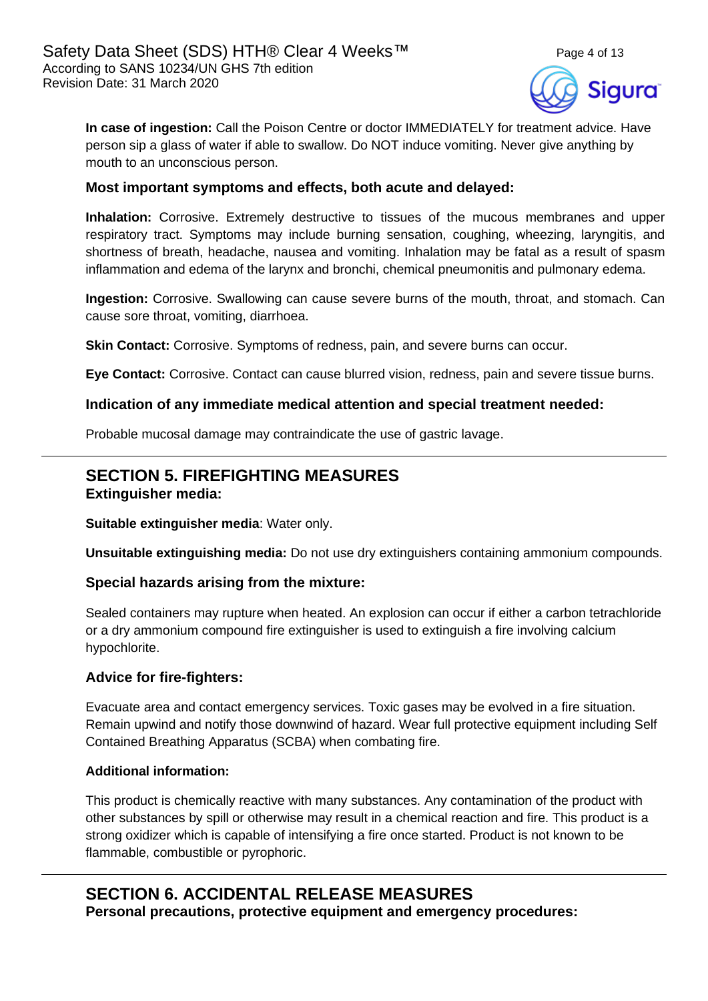

**In case of ingestion:** Call the Poison Centre or doctor IMMEDIATELY for treatment advice. Have person sip a glass of water if able to swallow. Do NOT induce vomiting. Never give anything by mouth to an unconscious person.

### **Most important symptoms and effects, both acute and delayed:**

**Inhalation:** Corrosive. Extremely destructive to tissues of the mucous membranes and upper respiratory tract. Symptoms may include burning sensation, coughing, wheezing, laryngitis, and shortness of breath, headache, nausea and vomiting. Inhalation may be fatal as a result of spasm inflammation and edema of the larynx and bronchi, chemical pneumonitis and pulmonary edema.

**Ingestion:** Corrosive. Swallowing can cause severe burns of the mouth, throat, and stomach. Can cause sore throat, vomiting, diarrhoea.

**Skin Contact:** Corrosive. Symptoms of redness, pain, and severe burns can occur.

**Eye Contact:** Corrosive. Contact can cause blurred vision, redness, pain and severe tissue burns.

### **Indication of any immediate medical attention and special treatment needed:**

Probable mucosal damage may contraindicate the use of gastric lavage.

## **SECTION 5. FIREFIGHTING MEASURES**

**Extinguisher media:**

**Suitable extinguisher media**: Water only.

**Unsuitable extinguishing media:** Do not use dry extinguishers containing ammonium compounds.

### **Special hazards arising from the mixture:**

Sealed containers may rupture when heated. An explosion can occur if either a carbon tetrachloride or a dry ammonium compound fire extinguisher is used to extinguish a fire involving calcium hypochlorite.

### **Advice for fire-fighters:**

Evacuate area and contact emergency services. Toxic gases may be evolved in a fire situation. Remain upwind and notify those downwind of hazard. Wear full protective equipment including Self Contained Breathing Apparatus (SCBA) when combating fire.

### **Additional information:**

This product is chemically reactive with many substances. Any contamination of the product with other substances by spill or otherwise may result in a chemical reaction and fire. This product is a strong oxidizer which is capable of intensifying a fire once started. Product is not known to be flammable, combustible or pyrophoric.

### **SECTION 6. ACCIDENTAL RELEASE MEASURES Personal precautions, protective equipment and emergency procedures:**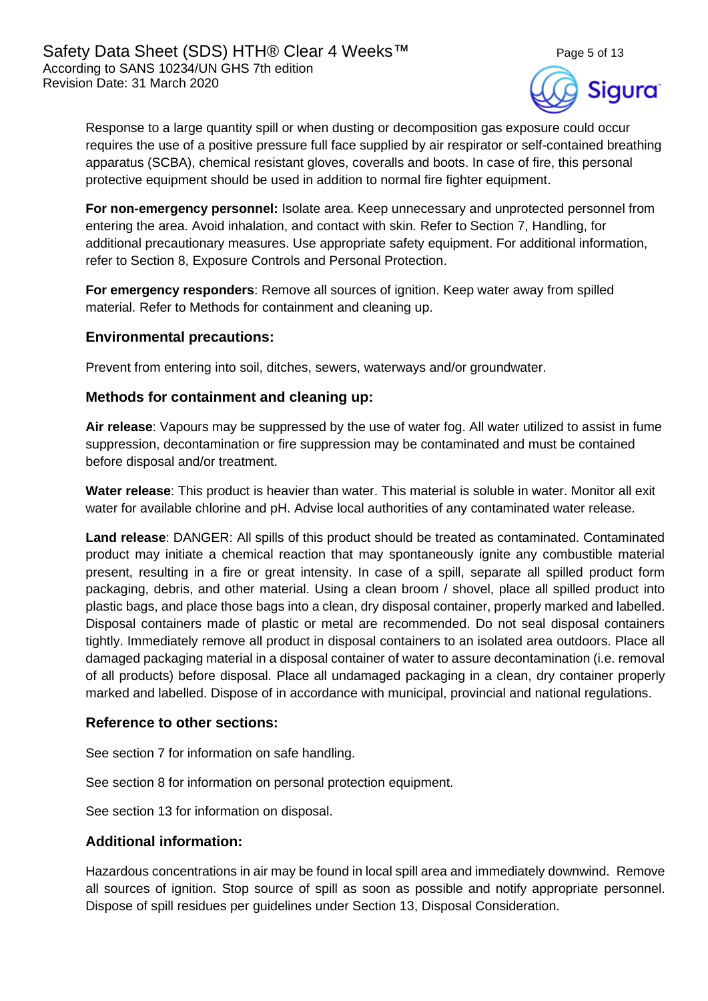

Response to a large quantity spill or when dusting or decomposition gas exposure could occur requires the use of a positive pressure full face supplied by air respirator or self-contained breathing apparatus (SCBA), chemical resistant gloves, coveralls and boots. In case of fire, this personal protective equipment should be used in addition to normal fire fighter equipment.

**For non-emergency personnel:** Isolate area. Keep unnecessary and unprotected personnel from entering the area. Avoid inhalation, and contact with skin. Refer to Section 7, Handling, for additional precautionary measures. Use appropriate safety equipment. For additional information, refer to Section 8, Exposure Controls and Personal Protection.

**For emergency responders**: Remove all sources of ignition. Keep water away from spilled material. Refer to Methods for containment and cleaning up.

### **Environmental precautions:**

Prevent from entering into soil, ditches, sewers, waterways and/or groundwater.

### **Methods for containment and cleaning up:**

**Air release**: Vapours may be suppressed by the use of water fog. All water utilized to assist in fume suppression, decontamination or fire suppression may be contaminated and must be contained before disposal and/or treatment.

**Water release**: This product is heavier than water. This material is soluble in water. Monitor all exit water for available chlorine and pH. Advise local authorities of any contaminated water release.

**Land release**: DANGER: All spills of this product should be treated as contaminated. Contaminated product may initiate a chemical reaction that may spontaneously ignite any combustible material present, resulting in a fire or great intensity. In case of a spill, separate all spilled product form packaging, debris, and other material. Using a clean broom / shovel, place all spilled product into plastic bags, and place those bags into a clean, dry disposal container, properly marked and labelled. Disposal containers made of plastic or metal are recommended. Do not seal disposal containers tightly. Immediately remove all product in disposal containers to an isolated area outdoors. Place all damaged packaging material in a disposal container of water to assure decontamination (i.e. removal of all products) before disposal. Place all undamaged packaging in a clean, dry container properly marked and labelled. Dispose of in accordance with municipal, provincial and national regulations.

### **Reference to other sections:**

See section 7 for information on safe handling.

See section 8 for information on personal protection equipment.

See section 13 for information on disposal.

### **Additional information:**

Hazardous concentrations in air may be found in local spill area and immediately downwind. Remove all sources of ignition. Stop source of spill as soon as possible and notify appropriate personnel. Dispose of spill residues per guidelines under Section 13, Disposal Consideration.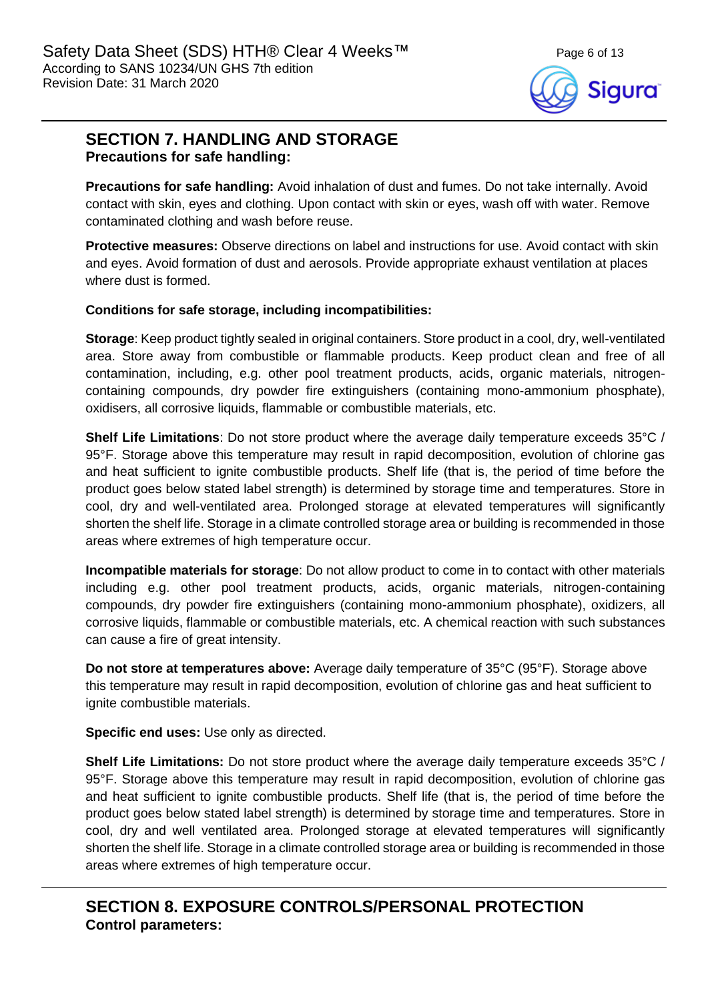Sigura

# **SECTION 7. HANDLING AND STORAGE**

### **Precautions for safe handling:**

**Precautions for safe handling:** Avoid inhalation of dust and fumes. Do not take internally. Avoid contact with skin, eyes and clothing. Upon contact with skin or eyes, wash off with water. Remove contaminated clothing and wash before reuse.

**Protective measures:** Observe directions on label and instructions for use. Avoid contact with skin and eyes. Avoid formation of dust and aerosols. Provide appropriate exhaust ventilation at places where dust is formed.

### **Conditions for safe storage, including incompatibilities:**

**Storage**: Keep product tightly sealed in original containers. Store product in a cool, dry, well-ventilated area. Store away from combustible or flammable products. Keep product clean and free of all contamination, including, e.g. other pool treatment products, acids, organic materials, nitrogencontaining compounds, dry powder fire extinguishers (containing mono-ammonium phosphate), oxidisers, all corrosive liquids, flammable or combustible materials, etc.

**Shelf Life Limitations**: Do not store product where the average daily temperature exceeds 35°C / 95°F. Storage above this temperature may result in rapid decomposition, evolution of chlorine gas and heat sufficient to ignite combustible products. Shelf life (that is, the period of time before the product goes below stated label strength) is determined by storage time and temperatures. Store in cool, dry and well-ventilated area. Prolonged storage at elevated temperatures will significantly shorten the shelf life. Storage in a climate controlled storage area or building is recommended in those areas where extremes of high temperature occur.

**Incompatible materials for storage**: Do not allow product to come in to contact with other materials including e.g. other pool treatment products, acids, organic materials, nitrogen-containing compounds, dry powder fire extinguishers (containing mono-ammonium phosphate), oxidizers, all corrosive liquids, flammable or combustible materials, etc. A chemical reaction with such substances can cause a fire of great intensity.

**Do not store at temperatures above:** Average daily temperature of 35°C (95°F). Storage above this temperature may result in rapid decomposition, evolution of chlorine gas and heat sufficient to ignite combustible materials.

**Specific end uses:** Use only as directed.

**Shelf Life Limitations:** Do not store product where the average daily temperature exceeds 35°C / 95°F. Storage above this temperature may result in rapid decomposition, evolution of chlorine gas and heat sufficient to ignite combustible products. Shelf life (that is, the period of time before the product goes below stated label strength) is determined by storage time and temperatures. Store in cool, dry and well ventilated area. Prolonged storage at elevated temperatures will significantly shorten the shelf life. Storage in a climate controlled storage area or building is recommended in those areas where extremes of high temperature occur.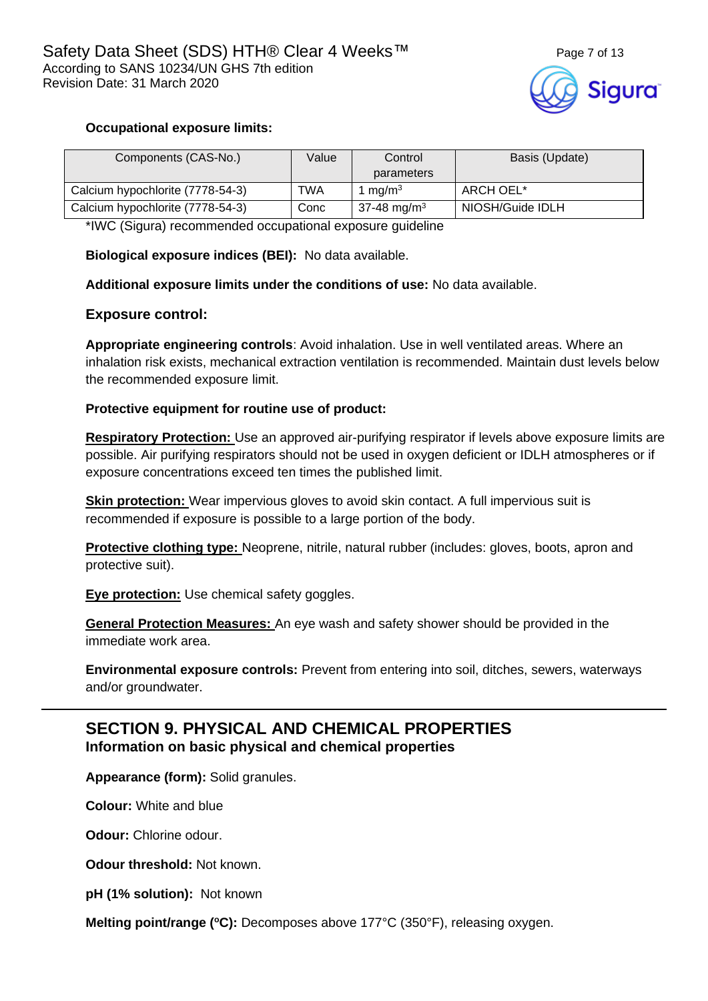### **Occupational exposure limits:**

| Components (CAS-No.)             | Value | Control                 | Basis (Update)   |
|----------------------------------|-------|-------------------------|------------------|
|                                  |       | parameters              |                  |
| Calcium hypochlorite (7778-54-3) | TWA   | 1 mg/m <sup>3</sup>     | ARCH OEL*        |
| Calcium hypochlorite (7778-54-3) | Conc  | 37-48 mg/m <sup>3</sup> | NIOSH/Guide IDLH |

\*IWC (Sigura) recommended occupational exposure guideline

**Biological exposure indices (BEI):** No data available.

**Additional exposure limits under the conditions of use:** No data available.

### **Exposure control:**

**Appropriate engineering controls**: Avoid inhalation. Use in well ventilated areas. Where an inhalation risk exists, mechanical extraction ventilation is recommended. Maintain dust levels below the recommended exposure limit.

### **Protective equipment for routine use of product:**

**Respiratory Protection:** Use an approved air-purifying respirator if levels above exposure limits are possible. Air purifying respirators should not be used in oxygen deficient or IDLH atmospheres or if exposure concentrations exceed ten times the published limit.

**Skin protection:** Wear impervious gloves to avoid skin contact. A full impervious suit is recommended if exposure is possible to a large portion of the body.

**Protective clothing type:** Neoprene, nitrile, natural rubber (includes: gloves, boots, apron and protective suit).

**Eye protection:** Use chemical safety goggles.

**General Protection Measures:** An eye wash and safety shower should be provided in the immediate work area.

**Environmental exposure controls:** Prevent from entering into soil, ditches, sewers, waterways and/or groundwater.

### **SECTION 9. PHYSICAL AND CHEMICAL PROPERTIES Information on basic physical and chemical properties**

**Appearance (form):** Solid granules.

**Colour:** White and blue

**Odour:** Chlorine odour.

**Odour threshold:** Not known.

**pH (1% solution):** Not known

**Melting point/range (°C):** Decomposes above 177°C (350°F), releasing oxygen.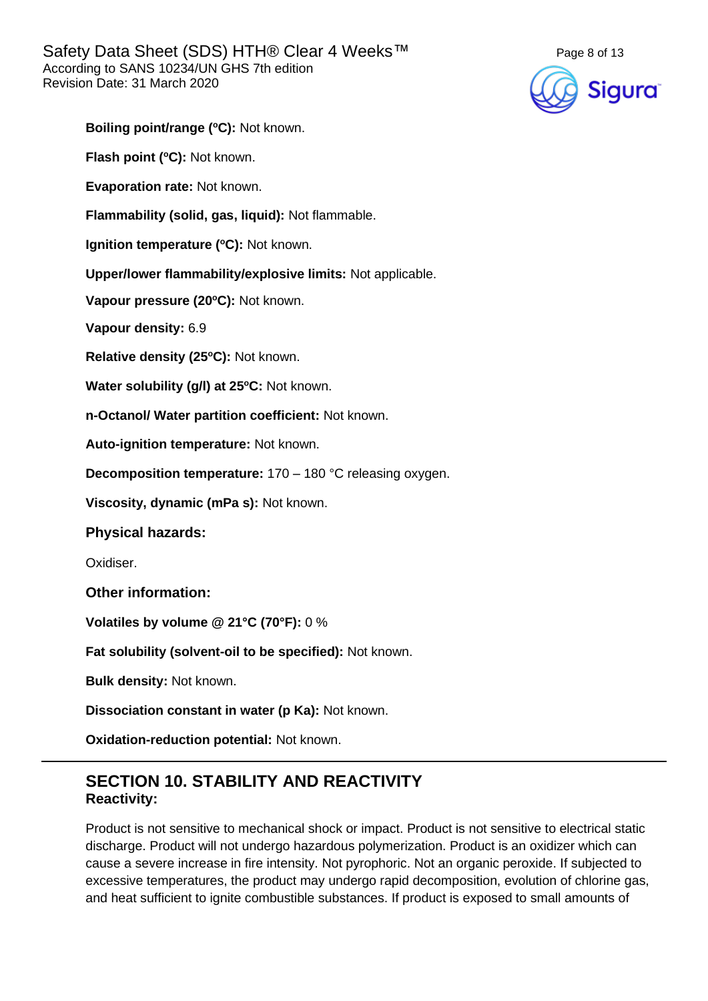

**Boiling point/range (<sup>o</sup>C):** Not known.

**Flash point (°C):** Not known.

**Evaporation rate:** Not known.

**Flammability (solid, gas, liquid):** Not flammable.

**Ignition temperature (°C):** Not known.

**Upper/lower flammability/explosive limits:** Not applicable.

**Vapour pressure (20<sup>o</sup>C):** Not known.

**Vapour density:** 6.9

**Relative density (25 <sup>o</sup>C):** Not known.

Water solubility (g/l) at 25°C: Not known.

**n-Octanol/ Water partition coefficient:** Not known.

**Auto-ignition temperature:** Not known.

**Decomposition temperature:** 170 – 180 °C releasing oxygen.

**Viscosity, dynamic (mPa s):** Not known.

**Physical hazards:**

Oxidiser.

**Other information:**

**Volatiles by volume @ 21°C (70°F):** 0 %

**Fat solubility (solvent-oil to be specified):** Not known.

**Bulk density:** Not known.

**Dissociation constant in water (p Ka):** Not known.

**Oxidation-reduction potential:** Not known.

### **SECTION 10. STABILITY AND REACTIVITY Reactivity:**

Product is not sensitive to mechanical shock or impact. Product is not sensitive to electrical static discharge. Product will not undergo hazardous polymerization. Product is an oxidizer which can cause a severe increase in fire intensity. Not pyrophoric. Not an organic peroxide. If subjected to excessive temperatures, the product may undergo rapid decomposition, evolution of chlorine gas, and heat sufficient to ignite combustible substances. If product is exposed to small amounts of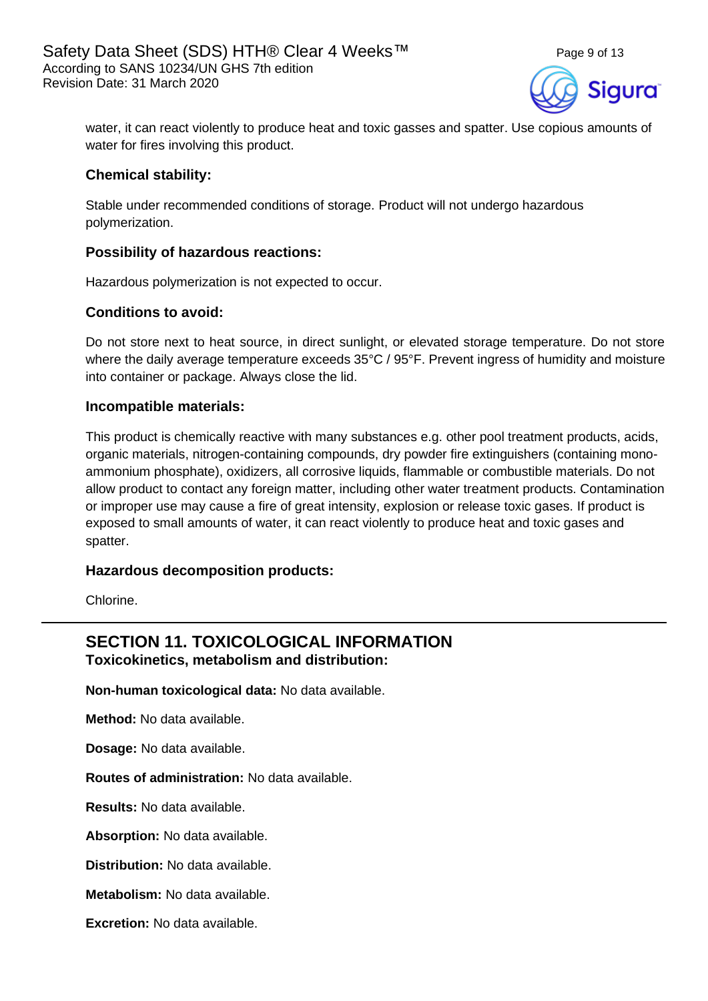

water, it can react violently to produce heat and toxic gasses and spatter. Use copious amounts of water for fires involving this product.

### **Chemical stability:**

Stable under recommended conditions of storage. Product will not undergo hazardous polymerization.

### **Possibility of hazardous reactions:**

Hazardous polymerization is not expected to occur.

### **Conditions to avoid:**

Do not store next to heat source, in direct sunlight, or elevated storage temperature. Do not store where the daily average temperature exceeds 35°C / 95°F. Prevent ingress of humidity and moisture into container or package. Always close the lid.

### **Incompatible materials:**

This product is chemically reactive with many substances e.g. other pool treatment products, acids, organic materials, nitrogen-containing compounds, dry powder fire extinguishers (containing monoammonium phosphate), oxidizers, all corrosive liquids, flammable or combustible materials. Do not allow product to contact any foreign matter, including other water treatment products. Contamination or improper use may cause a fire of great intensity, explosion or release toxic gases. If product is exposed to small amounts of water, it can react violently to produce heat and toxic gases and spatter.

### **Hazardous decomposition products:**

Chlorine.

### **SECTION 11. TOXICOLOGICAL INFORMATION Toxicokinetics, metabolism and distribution:**

**Non-human toxicological data:** No data available.

**Method:** No data available.

**Dosage:** No data available.

**Routes of administration:** No data available.

**Results:** No data available.

**Absorption:** No data available.

**Distribution:** No data available.

**Metabolism:** No data available.

**Excretion:** No data available.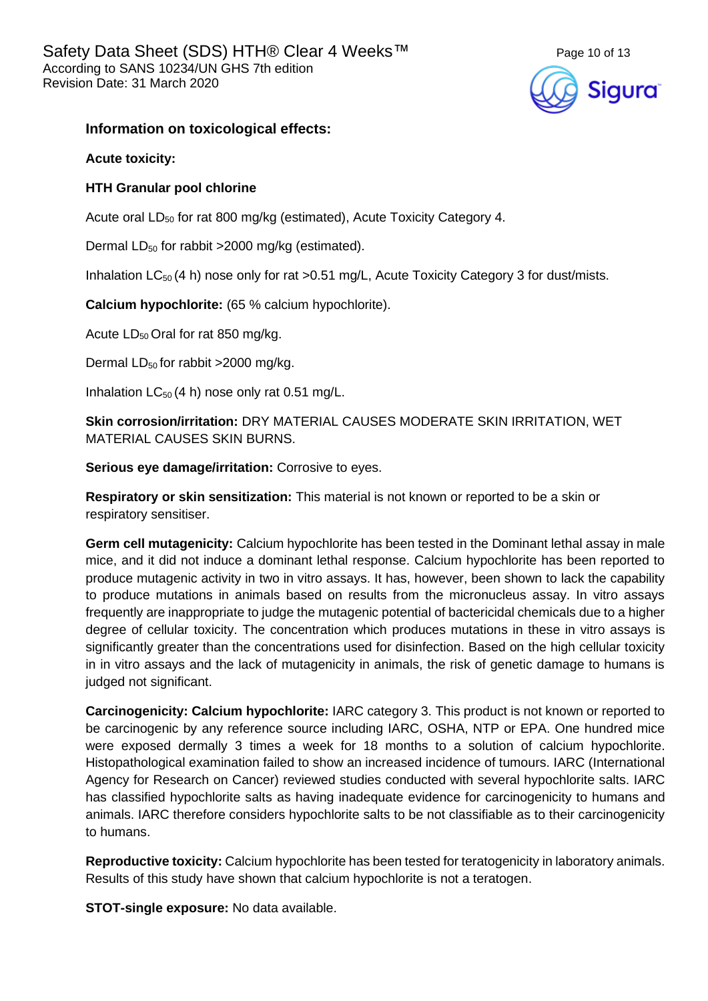

### **Information on toxicological effects:**

**Acute toxicity:**

### **HTH Granular pool chlorine**

Acute oral LD<sub>50</sub> for rat 800 mg/kg (estimated), Acute Toxicity Category 4.

Dermal  $LD_{50}$  for rabbit >2000 mg/kg (estimated).

Inhalation  $LC_{50}$  (4 h) nose only for rat >0.51 mg/L, Acute Toxicity Category 3 for dust/mists.

**Calcium hypochlorite:** (65 % calcium hypochlorite).

Acute  $LD_{50}$  Oral for rat 850 mg/kg.

Dermal  $LD_{50}$  for rabbit >2000 mg/kg.

Inhalation  $LC_{50}$  (4 h) nose only rat 0.51 mg/L.

**Skin corrosion/irritation:** DRY MATERIAL CAUSES MODERATE SKIN IRRITATION, WET MATERIAL CAUSES SKIN BURNS.

**Serious eye damage/irritation:** Corrosive to eyes.

**Respiratory or skin sensitization:** This material is not known or reported to be a skin or respiratory sensitiser.

**Germ cell mutagenicity:** Calcium hypochlorite has been tested in the Dominant lethal assay in male mice, and it did not induce a dominant lethal response. Calcium hypochlorite has been reported to produce mutagenic activity in two in vitro assays. It has, however, been shown to lack the capability to produce mutations in animals based on results from the micronucleus assay. In vitro assays frequently are inappropriate to judge the mutagenic potential of bactericidal chemicals due to a higher degree of cellular toxicity. The concentration which produces mutations in these in vitro assays is significantly greater than the concentrations used for disinfection. Based on the high cellular toxicity in in vitro assays and the lack of mutagenicity in animals, the risk of genetic damage to humans is judged not significant.

**Carcinogenicity: Calcium hypochlorite:** IARC category 3. This product is not known or reported to be carcinogenic by any reference source including IARC, OSHA, NTP or EPA. One hundred mice were exposed dermally 3 times a week for 18 months to a solution of calcium hypochlorite. Histopathological examination failed to show an increased incidence of tumours. IARC (International Agency for Research on Cancer) reviewed studies conducted with several hypochlorite salts. IARC has classified hypochlorite salts as having inadequate evidence for carcinogenicity to humans and animals. IARC therefore considers hypochlorite salts to be not classifiable as to their carcinogenicity to humans.

**Reproductive toxicity:** Calcium hypochlorite has been tested for teratogenicity in laboratory animals. Results of this study have shown that calcium hypochlorite is not a teratogen.

**STOT-single exposure:** No data available.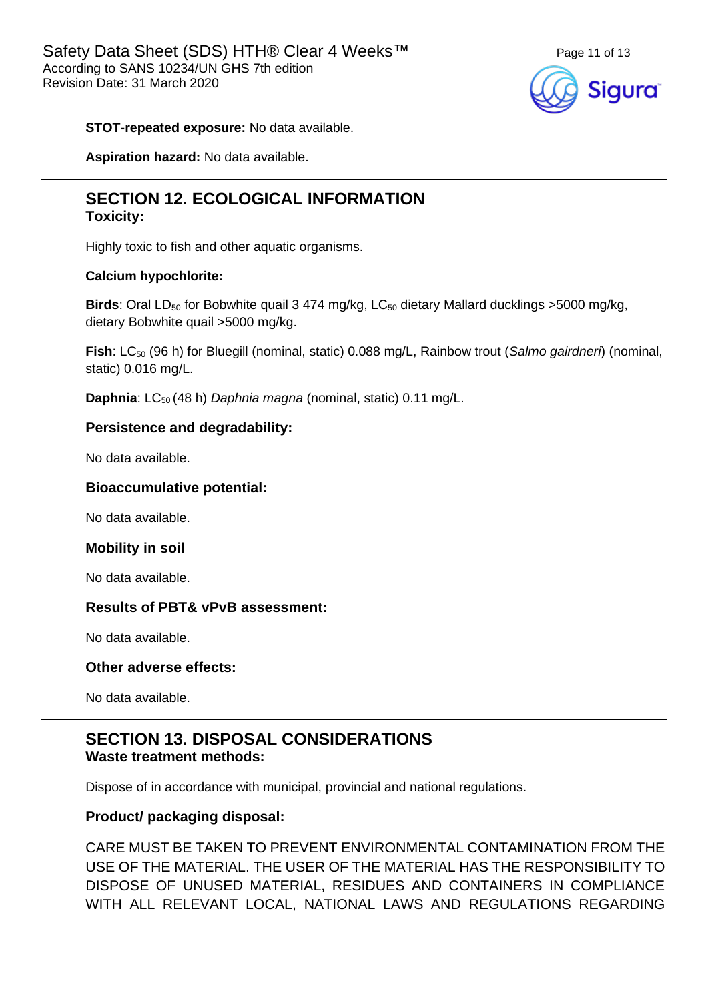

### **STOT-repeated exposure:** No data available.

**Aspiration hazard:** No data available.

### **SECTION 12. ECOLOGICAL INFORMATION Toxicity:**

Highly toxic to fish and other aquatic organisms.

### **Calcium hypochlorite:**

**Birds**: Oral LD<sub>50</sub> for Bobwhite quail 3 474 mg/kg, LC<sub>50</sub> dietary Mallard ducklings >5000 mg/kg, dietary Bobwhite quail >5000 mg/kg.

**Fish**: LC<sub>50</sub> (96 h) for Bluegill (nominal, static) 0.088 mg/L, Rainbow trout (*Salmo gairdneri*) (nominal, static) 0.016 mg/L.

**Daphnia**: LC<sub>50</sub> (48 h) *Daphnia magna* (nominal, static) 0.11 mg/L.

### **Persistence and degradability:**

No data available.

### **Bioaccumulative potential:**

No data available.

### **Mobility in soil**

No data available.

### **Results of PBT& vPvB assessment:**

No data available.

### **Other adverse effects:**

No data available.

### **SECTION 13. DISPOSAL CONSIDERATIONS Waste treatment methods:**

Dispose of in accordance with municipal, provincial and national regulations.

### **Product/ packaging disposal:**

CARE MUST BE TAKEN TO PREVENT ENVIRONMENTAL CONTAMINATION FROM THE USE OF THE MATERIAL. THE USER OF THE MATERIAL HAS THE RESPONSIBILITY TO DISPOSE OF UNUSED MATERIAL, RESIDUES AND CONTAINERS IN COMPLIANCE WITH ALL RELEVANT LOCAL, NATIONAL LAWS AND REGULATIONS REGARDING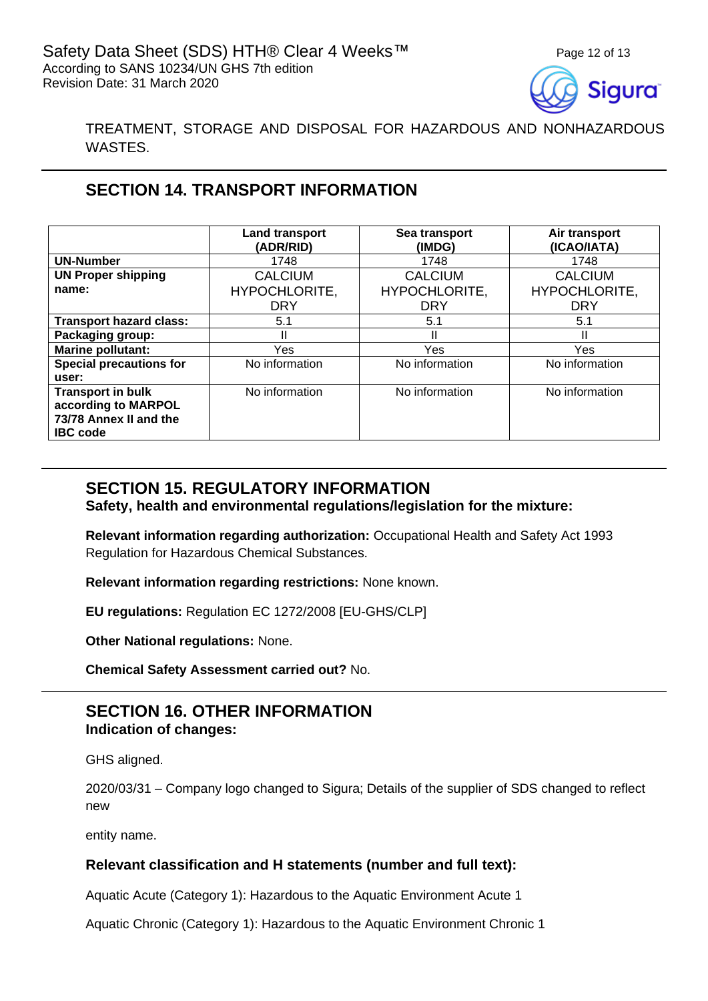

TREATMENT, STORAGE AND DISPOSAL FOR HAZARDOUS AND NONHAZARDOUS WASTES.

## **SECTION 14. TRANSPORT INFORMATION**

|                                | <b>Land transport</b><br>(ADR/RID) | Sea transport<br>(IMDG) | Air transport<br>(ICAO/IATA) |
|--------------------------------|------------------------------------|-------------------------|------------------------------|
| <b>UN-Number</b>               | 1748                               | 1748                    | 1748                         |
| <b>UN Proper shipping</b>      | <b>CALCIUM</b>                     | <b>CALCIUM</b>          | <b>CALCIUM</b>               |
| name:                          | HYPOCHLORITE,                      | HYPOCHLORITE,           | HYPOCHLORITE,                |
|                                | <b>DRY</b>                         | <b>DRY</b>              | <b>DRY</b>                   |
| <b>Transport hazard class:</b> | 5.1                                | 5.1                     | 5.1                          |
| Packaging group:               |                                    |                         | Ш                            |
| <b>Marine pollutant:</b>       | Yes.                               | <b>Yes</b>              | Yes                          |
| <b>Special precautions for</b> | No information                     | No information          | No information               |
| user:                          |                                    |                         |                              |
| <b>Transport in bulk</b>       | No information                     | No information          | No information               |
| according to MARPOL            |                                    |                         |                              |
| 73/78 Annex II and the         |                                    |                         |                              |
| <b>IBC</b> code                |                                    |                         |                              |

## **SECTION 15. REGULATORY INFORMATION**

**Safety, health and environmental regulations/legislation for the mixture:**

**Relevant information regarding authorization:** Occupational Health and Safety Act 1993 Regulation for Hazardous Chemical Substances.

**Relevant information regarding restrictions:** None known.

**EU regulations:** Regulation EC 1272/2008 [EU-GHS/CLP]

**Other National regulations:** None.

**Chemical Safety Assessment carried out?** No.

### **SECTION 16. OTHER INFORMATION Indication of changes:**

GHS aligned.

2020/03/31 – Company logo changed to Sigura; Details of the supplier of SDS changed to reflect new

entity name.

### **Relevant classification and H statements (number and full text):**

Aquatic Acute (Category 1): Hazardous to the Aquatic Environment Acute 1

Aquatic Chronic (Category 1): Hazardous to the Aquatic Environment Chronic 1